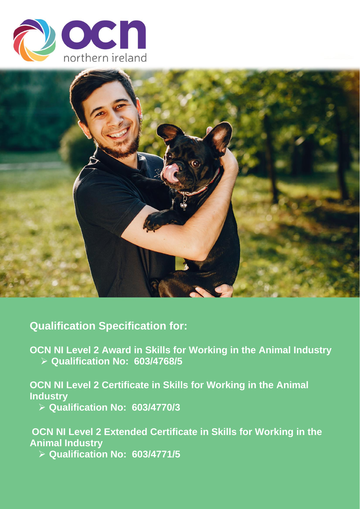



**Qualification Specification for:**

**OCN NI Level 2 Award in Skills for Working in the Animal Industry** ➢ **Qualification No: 603/4768/5**

**OCN NI Level 2 Certificate in Skills for Working in the Animal Industry**

➢ **Qualification No: 603/4770/3**

**OCN NI Level 2 Extended Certificate in Skills for Working in the Animal Industry**

➢ **Qualification No: 603/4771/5**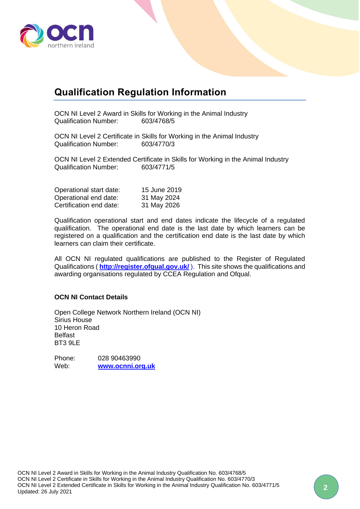

# **Qualification Regulation Information**

OCN NI Level 2 Award in Skills for Working in the Animal Industry Qualification Number: 603/4768/5

OCN NI Level 2 Certificate in Skills for Working in the Animal Industry Qualification Number: 603/4770/3

OCN NI Level 2 Extended Certificate in Skills for Working in the Animal Industry Qualification Number: 603/4771/5

| Operational start date: | 15 June 2019 |
|-------------------------|--------------|
| Operational end date:   | 31 May 2024  |
| Certification end date: | 31 May 2026  |

Qualification operational start and end dates indicate the lifecycle of a regulated qualification. The operational end date is the last date by which learners can be registered on a qualification and the certification end date is the last date by which learners can claim their certificate.

All OCN NI regulated qualifications are published to the Register of Regulated Qualifications (**<http://register.ofqual.gov.uk/>**). This site shows the qualifications and awarding organisations regulated by CCEA Regulation and Ofqual.

#### **OCN NI Contact Details**

Open College Network Northern Ireland (OCN NI) Sirius House 10 Heron Road Belfast BT3 9LE

Phone: 028 90463990 Web: **[www.ocnni.org.uk](http://www.ocnni.org.uk/)**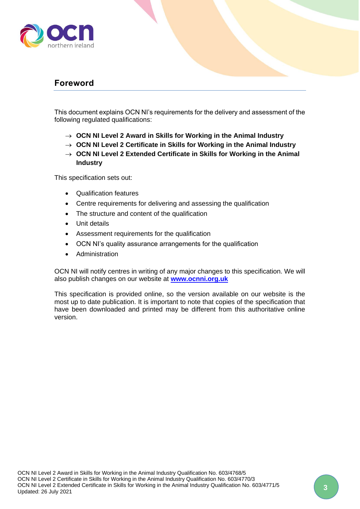

## <span id="page-2-0"></span>**Foreword**

This document explains OCN NI's requirements for the delivery and assessment of the following regulated qualifications:

- → **OCN NI Level 2 Award in Skills for Working in the Animal Industry**
- → **OCN NI Level 2 Certificate in Skills for Working in the Animal Industry**
- → **OCN NI Level 2 Extended Certificate in Skills for Working in the Animal Industry**

This specification sets out:

- Qualification features
- Centre requirements for delivering and assessing the qualification
- The structure and content of the qualification
- Unit details
- Assessment requirements for the qualification
- OCN NI's quality assurance arrangements for the qualification
- Administration

OCN NI will notify centres in writing of any major changes to this specification. We will also publish changes on our website at **[www.ocnni.org.uk](http://www.ocnni.org.uk/)**

This specification is provided online, so the version available on our website is the most up to date publication. It is important to note that copies of the specification that have been downloaded and printed may be different from this authoritative online version.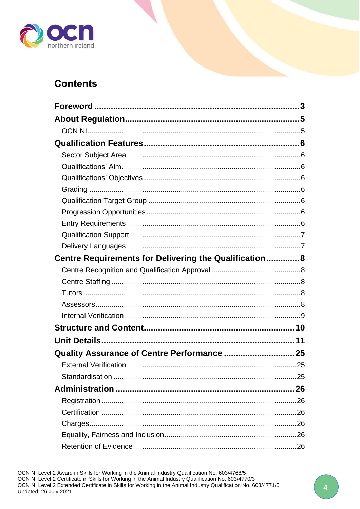

## **Contents**

| Centre Requirements for Delivering the Qualification 8 |  |
|--------------------------------------------------------|--|
|                                                        |  |
|                                                        |  |
|                                                        |  |
|                                                        |  |
|                                                        |  |
|                                                        |  |
|                                                        |  |
| Quality Assurance of Centre Performance  25            |  |
|                                                        |  |
|                                                        |  |
|                                                        |  |
|                                                        |  |
|                                                        |  |
|                                                        |  |
|                                                        |  |
|                                                        |  |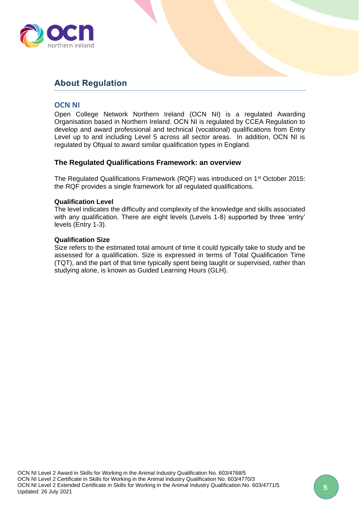

## <span id="page-4-0"></span>**About Regulation**

## <span id="page-4-1"></span>**OCN NI**

Open College Network Northern Ireland (OCN NI) is a regulated Awarding Organisation based in Northern Ireland. OCN NI is regulated by CCEA Regulation to develop and award professional and technical (vocational) qualifications from Entry Level up to and including Level 5 across all sector areas. In addition, OCN NI is regulated by Ofqual to award similar qualification types in England.

#### **The Regulated Qualifications Framework: an overview**

The Regulated Qualifications Framework (RQF) was introduced on 1<sup>st</sup> October 2015: the RQF provides a single framework for all regulated qualifications.

#### **Qualification Level**

The level indicates the difficulty and complexity of the knowledge and skills associated with any qualification. There are eight levels (Levels 1-8) supported by three 'entry' levels (Entry 1-3).

#### **Qualification Size**

Size refers to the estimated total amount of time it could typically take to study and be assessed for a qualification. Size is expressed in terms of Total Qualification Time (TQT), and the part of that time typically spent being taught or supervised, rather than studying alone, is known as Guided Learning Hours (GLH).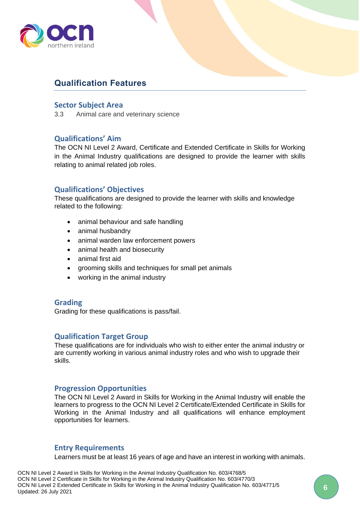

## <span id="page-5-0"></span>**Qualification Features**

### <span id="page-5-1"></span>**Sector Subject Area**

3.3 Animal care and veterinary science

## <span id="page-5-2"></span>**Qualifications' Aim**

The OCN NI Level 2 Award, Certificate and Extended Certificate in Skills for Working in the Animal Industry qualifications are designed to provide the learner with skills relating to animal related job roles.

## <span id="page-5-3"></span>**Qualifications' Objectives**

These qualifications are designed to provide the learner with skills and knowledge related to the following:

- animal behaviour and safe handling
- animal husbandry
- animal warden law enforcement powers
- animal health and biosecurity
- animal first aid
- grooming skills and techniques for small pet animals
- working in the animal industry

## <span id="page-5-4"></span>**Grading**

Grading for these qualifications is pass/fail.

## <span id="page-5-5"></span>**Qualification Target Group**

These qualifications are for individuals who wish to either enter the animal industry or are currently working in various animal industry roles and who wish to upgrade their skills.

#### <span id="page-5-6"></span>**Progression Opportunities**

The OCN NI Level 2 Award in Skills for Working in the Animal Industry will enable the learners to progress to the OCN NI Level 2 Certificate/Extended Certificate in Skills for Working in the Animal Industry and all qualifications will enhance employment opportunities for learners.

#### <span id="page-5-7"></span>**Entry Requirements**

Learners must be at least 16 years of age and have an interest in working with animals.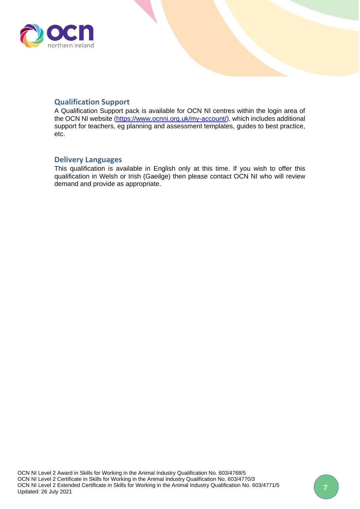

## <span id="page-6-0"></span>**Qualification Support**

A Qualification Support pack is available for OCN NI centres within the login area of the OCN NI website [\(https://www.ocnni.org.uk/my-account/\)](https://www.ocnni.org.uk/my-account/), which includes additional support for teachers, eg planning and assessment templates, guides to best practice, etc.

### <span id="page-6-1"></span>**Delivery Languages**

This qualification is available in English only at this time. If you wish to offer this qualification in Welsh or Irish (Gaeilge) then please contact OCN NI who will review demand and provide as appropriate.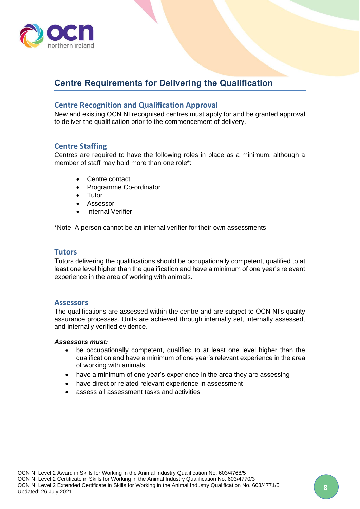

## <span id="page-7-0"></span>**Centre Requirements for Delivering the Qualification**

## <span id="page-7-1"></span>**Centre Recognition and Qualification Approval**

New and existing OCN NI recognised centres must apply for and be granted approval to deliver the qualification prior to the commencement of delivery.

## <span id="page-7-2"></span>**Centre Staffing**

Centres are required to have the following roles in place as a minimum, although a member of staff may hold more than one role\*:

- Centre contact
- Programme Co-ordinator
- Tutor
- Assessor
- **Internal Verifier**

\*Note: A person cannot be an internal verifier for their own assessments.

## <span id="page-7-3"></span>**Tutors**

Tutors delivering the qualifications should be occupationally competent, qualified to at least one level higher than the qualification and have a minimum of one year's relevant experience in the area of working with animals.

#### <span id="page-7-4"></span>**Assessors**

The qualifications are assessed within the centre and are subject to OCN NI's quality assurance processes. Units are achieved through internally set, internally assessed, and internally verified evidence.

#### *Assessors must:*

- be occupationally competent, qualified to at least one level higher than the qualification and have a minimum of one year's relevant experience in the area of working with animals
- have a minimum of one year's experience in the area they are assessing
- have direct or related relevant experience in assessment
- assess all assessment tasks and activities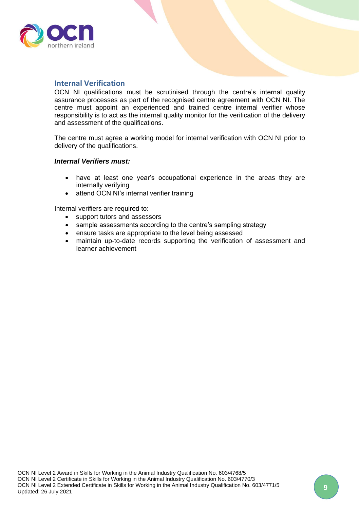

## <span id="page-8-0"></span>**Internal Verification**

OCN NI qualifications must be scrutinised through the centre's internal quality assurance processes as part of the recognised centre agreement with OCN NI. The centre must appoint an experienced and trained centre internal verifier whose responsibility is to act as the internal quality monitor for the verification of the delivery and assessment of the qualifications.

The centre must agree a working model for internal verification with OCN NI prior to delivery of the qualifications.

#### *Internal Verifiers must:*

- have at least one year's occupational experience in the areas they are internally verifying
- attend OCN NI's internal verifier training

Internal verifiers are required to:

- support tutors and assessors
- sample assessments according to the centre's sampling strategy
- ensure tasks are appropriate to the level being assessed
- maintain up-to-date records supporting the verification of assessment and learner achievement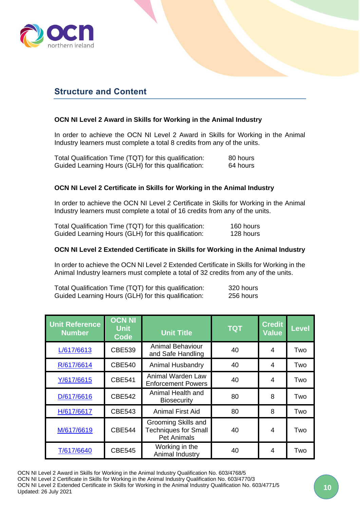

## <span id="page-9-0"></span>**Structure and Content**

### **OCN NI Level 2 Award in Skills for Working in the Animal Industry**

In order to achieve the OCN NI Level 2 Award in Skills for Working in the Animal Industry learners must complete a total 8 credits from any of the units.

| Total Qualification Time (TQT) for this qualification: | 80 hours |
|--------------------------------------------------------|----------|
| Guided Learning Hours (GLH) for this qualification:    | 64 hours |

#### **OCN NI Level 2 Certificate in Skills for Working in the Animal Industry**

In order to achieve the OCN NI Level 2 Certificate in Skills for Working in the Animal Industry learners must complete a total of 16 credits from any of the units.

| Total Qualification Time (TQT) for this qualification: | 160 hours |
|--------------------------------------------------------|-----------|
| Guided Learning Hours (GLH) for this qualification:    | 128 hours |

#### **OCN NI Level 2 Extended Certificate in Skills for Working in the Animal Industry**

In order to achieve the OCN NI Level 2 Extended Certificate in Skills for Working in the Animal Industry learners must complete a total of 32 credits from any of the units.

Total Qualification Time (TQT) for this qualification: 320 hours Guided Learning Hours (GLH) for this qualification: 256 hours

| <b>Unit Reference</b><br><b>Number</b> | <b>OCN NI</b><br><b>Unit</b><br><b>Code</b> | <b>Unit Title</b>                                                        | <b>TQT</b> | <b>Credit</b><br><b>Value</b> | <b>Level</b> |
|----------------------------------------|---------------------------------------------|--------------------------------------------------------------------------|------------|-------------------------------|--------------|
| L/617/6613                             | <b>CBE539</b>                               | <b>Animal Behaviour</b><br>and Safe Handling                             | 40         | 4                             | Two          |
| R/617/6614                             | <b>CBE540</b>                               | Animal Husbandry                                                         | 40         | 4                             | Two          |
| Y/617/6615                             | <b>CBE541</b>                               | Animal Warden Law<br><b>Enforcement Powers</b>                           | 40         | 4                             | Two          |
| D/617/6616                             | <b>CBE542</b>                               | Animal Health and<br><b>Biosecurity</b>                                  | 80         | 8                             | Two          |
| H/617/6617                             | <b>CBE543</b>                               | <b>Animal First Aid</b>                                                  | 80         | 8                             | Two          |
| M/617/6619                             | <b>CBE544</b>                               | Grooming Skills and<br><b>Techniques for Small</b><br><b>Pet Animals</b> | 40         | $\overline{\mathcal{A}}$      | Two          |
| T/617/6640                             | <b>CBE545</b>                               | Working in the<br>Animal Industry                                        | 40         | 4                             | Two          |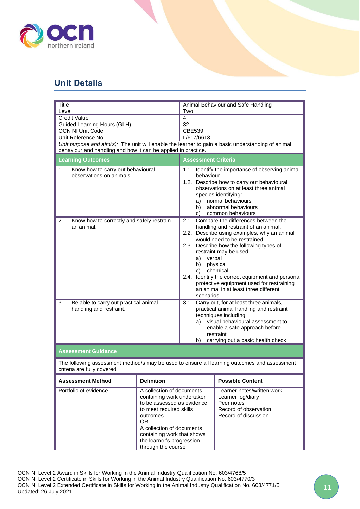

## <span id="page-10-0"></span>**Unit Details**

<span id="page-10-1"></span>

| Title                                                                                                                                                              |                                                                                                                                                                                                                                                               |                                                                                                                                                                                                                                                                                                                                                                                                                                                   | Animal Behaviour and Safe Handling                                                                                                                                                                                                     |  |
|--------------------------------------------------------------------------------------------------------------------------------------------------------------------|---------------------------------------------------------------------------------------------------------------------------------------------------------------------------------------------------------------------------------------------------------------|---------------------------------------------------------------------------------------------------------------------------------------------------------------------------------------------------------------------------------------------------------------------------------------------------------------------------------------------------------------------------------------------------------------------------------------------------|----------------------------------------------------------------------------------------------------------------------------------------------------------------------------------------------------------------------------------------|--|
| Level                                                                                                                                                              |                                                                                                                                                                                                                                                               | Two                                                                                                                                                                                                                                                                                                                                                                                                                                               |                                                                                                                                                                                                                                        |  |
| <b>Credit Value</b>                                                                                                                                                |                                                                                                                                                                                                                                                               | $\overline{4}$                                                                                                                                                                                                                                                                                                                                                                                                                                    |                                                                                                                                                                                                                                        |  |
| Guided Learning Hours (GLH)                                                                                                                                        |                                                                                                                                                                                                                                                               | $\overline{32}$                                                                                                                                                                                                                                                                                                                                                                                                                                   |                                                                                                                                                                                                                                        |  |
| <b>OCN NI Unit Code</b>                                                                                                                                            |                                                                                                                                                                                                                                                               | <b>CBE539</b>                                                                                                                                                                                                                                                                                                                                                                                                                                     |                                                                                                                                                                                                                                        |  |
| Unit Reference No                                                                                                                                                  |                                                                                                                                                                                                                                                               | L/617/6613                                                                                                                                                                                                                                                                                                                                                                                                                                        |                                                                                                                                                                                                                                        |  |
| Unit purpose and aim(s): The unit will enable the learner to gain a basic understanding of animal<br>behaviour and handling and how it can be applied in practice. |                                                                                                                                                                                                                                                               |                                                                                                                                                                                                                                                                                                                                                                                                                                                   |                                                                                                                                                                                                                                        |  |
| <b>Learning Outcomes</b>                                                                                                                                           |                                                                                                                                                                                                                                                               | <b>Assessment Criteria</b>                                                                                                                                                                                                                                                                                                                                                                                                                        |                                                                                                                                                                                                                                        |  |
| Know how to carry out behavioural<br>1.<br>observations on animals.                                                                                                |                                                                                                                                                                                                                                                               | behaviour.<br>a)<br>b).<br>C)                                                                                                                                                                                                                                                                                                                                                                                                                     | 1.1. Identify the importance of observing animal<br>1.2. Describe how to carry out behavioural<br>observations on at least three animal<br>species identifying:<br>normal behaviours<br>abnormal behaviours<br>common behaviours       |  |
| 2.<br>Know how to correctly and safely restrain<br>an animal.                                                                                                      |                                                                                                                                                                                                                                                               | 2.1. Compare the differences between the<br>handling and restraint of an animal.<br>2.2. Describe using examples, why an animal<br>would need to be restrained.<br>2.3. Describe how the following types of<br>restraint may be used:<br>verbal<br>a)<br>physical<br>b)<br>chemical<br>C)<br>2.4. Identify the correct equipment and personal<br>protective equipment used for restraining<br>an animal in at least three different<br>scenarios. |                                                                                                                                                                                                                                        |  |
| Be able to carry out practical animal<br>3.<br>handling and restraint.                                                                                             |                                                                                                                                                                                                                                                               | a) -<br>b)                                                                                                                                                                                                                                                                                                                                                                                                                                        | 3.1. Carry out, for at least three animals,<br>practical animal handling and restraint<br>techniques including:<br>visual behavioural assessment to<br>enable a safe approach before<br>restraint<br>carrying out a basic health check |  |
| <b>Assessment Guidance</b>                                                                                                                                         |                                                                                                                                                                                                                                                               |                                                                                                                                                                                                                                                                                                                                                                                                                                                   |                                                                                                                                                                                                                                        |  |
| The following assessment method/s may be used to ensure all learning outcomes and assessment<br>criteria are fully covered.                                        |                                                                                                                                                                                                                                                               |                                                                                                                                                                                                                                                                                                                                                                                                                                                   |                                                                                                                                                                                                                                        |  |
| <b>Assessment Method</b>                                                                                                                                           | <b>Definition</b>                                                                                                                                                                                                                                             |                                                                                                                                                                                                                                                                                                                                                                                                                                                   | <b>Possible Content</b>                                                                                                                                                                                                                |  |
| Portfolio of evidence                                                                                                                                              | A collection of documents<br>containing work undertaken<br>to be assessed as evidence<br>to meet required skills<br>outcomes<br>OR <sub>1</sub><br>A collection of documents<br>containing work that shows<br>the learner's progression<br>through the course |                                                                                                                                                                                                                                                                                                                                                                                                                                                   | Learner notes/written work<br>Learner log/diary<br>Peer notes<br>Record of observation<br>Record of discussion                                                                                                                         |  |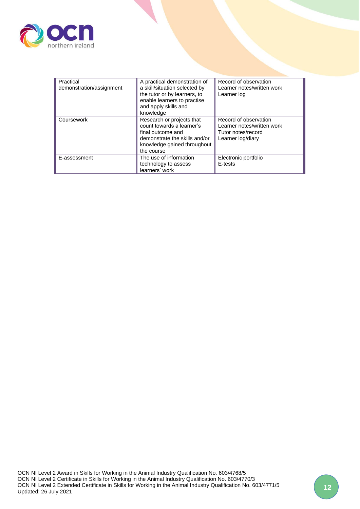

| Practical                | A practical demonstration of  | Record of observation      |
|--------------------------|-------------------------------|----------------------------|
| demonstration/assignment | a skill/situation selected by | Learner notes/written work |
|                          | the tutor or by learners, to  | Learner log                |
|                          | enable learners to practise   |                            |
|                          | and apply skills and          |                            |
|                          | knowledge                     |                            |
| Coursework               | Research or projects that     | Record of observation      |
|                          | count towards a learner's     | Learner notes/written work |
|                          | final outcome and             | Tutor notes/record         |
|                          | demonstrate the skills and/or | Learner log/diary          |
|                          | knowledge gained throughout   |                            |
|                          | the course                    |                            |
| E-assessment             | The use of information        | Electronic portfolio       |
|                          | technology to assess          | E-tests                    |
|                          | learners' work                |                            |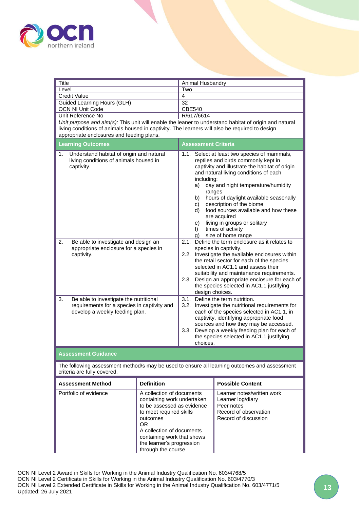

<span id="page-12-0"></span>

| <b>Title</b>                                                                                                                  |                                                                                                                                                                                                                                                   | Animal Husbandry                                   |                                                                                                                                                                                                                                                                                                                                                                                                                                            |
|-------------------------------------------------------------------------------------------------------------------------------|---------------------------------------------------------------------------------------------------------------------------------------------------------------------------------------------------------------------------------------------------|----------------------------------------------------|--------------------------------------------------------------------------------------------------------------------------------------------------------------------------------------------------------------------------------------------------------------------------------------------------------------------------------------------------------------------------------------------------------------------------------------------|
| Level                                                                                                                         | Two                                                                                                                                                                                                                                               |                                                    |                                                                                                                                                                                                                                                                                                                                                                                                                                            |
| <b>Credit Value</b>                                                                                                           | 4                                                                                                                                                                                                                                                 |                                                    |                                                                                                                                                                                                                                                                                                                                                                                                                                            |
| Guided Learning Hours (GLH)                                                                                                   | 32                                                                                                                                                                                                                                                |                                                    |                                                                                                                                                                                                                                                                                                                                                                                                                                            |
| <b>OCN NI Unit Code</b>                                                                                                       |                                                                                                                                                                                                                                                   | <b>CBE540</b>                                      |                                                                                                                                                                                                                                                                                                                                                                                                                                            |
| Unit Reference No                                                                                                             |                                                                                                                                                                                                                                                   | R/617/6614                                         |                                                                                                                                                                                                                                                                                                                                                                                                                                            |
| living conditions of animals housed in captivity. The learners will also be required to design                                |                                                                                                                                                                                                                                                   |                                                    | Unit purpose and aim(s): This unit will enable the leaner to understand habitat of origin and natural                                                                                                                                                                                                                                                                                                                                      |
| appropriate enclosures and feeding plans.                                                                                     |                                                                                                                                                                                                                                                   |                                                    |                                                                                                                                                                                                                                                                                                                                                                                                                                            |
| <b>Learning Outcomes</b>                                                                                                      |                                                                                                                                                                                                                                                   | <b>Assessment Criteria</b>                         |                                                                                                                                                                                                                                                                                                                                                                                                                                            |
| Understand habitat of origin and natural<br>1.<br>living conditions of animals housed in<br>captivity.                        |                                                                                                                                                                                                                                                   | including:<br>a) -<br>b)<br>C)<br>e) –<br>f)<br>g) | 1.1. Select at least two species of mammals,<br>reptiles and birds commonly kept in<br>captivity and illustrate the habitat of origin<br>and natural living conditions of each<br>day and night temperature/humidity<br>ranges<br>hours of daylight available seasonally<br>description of the biome<br>d) food sources available and how these<br>are acquired<br>living in groups or solitary<br>times of activity<br>size of home range |
| $\overline{2}$ .<br>Be able to investigate and design an<br>appropriate enclosure for a species in<br>captivity.              |                                                                                                                                                                                                                                                   |                                                    | 2.1. Define the term enclosure as it relates to<br>species in captivity.<br>2.2. Investigate the available enclosures within<br>the retail sector for each of the species<br>selected in AC1.1 and assess their<br>suitability and maintenance requirements.<br>2.3. Design an appropriate enclosure for each of<br>the species selected in AC1.1 justifying<br>design choices.                                                            |
| 3.<br>Be able to investigate the nutritional<br>requirements for a species in captivity and<br>develop a weekly feeding plan. |                                                                                                                                                                                                                                                   | choices.                                           | 3.1. Define the term nutrition.<br>3.2. Investigate the nutritional requirements for<br>each of the species selected in AC1.1, in<br>captivity, identifying appropriate food<br>sources and how they may be accessed.<br>3.3. Develop a weekly feeding plan for each of<br>the species selected in AC1.1 justifying                                                                                                                        |
| <b>Assessment Guidance</b>                                                                                                    |                                                                                                                                                                                                                                                   |                                                    |                                                                                                                                                                                                                                                                                                                                                                                                                                            |
| criteria are fully covered.                                                                                                   |                                                                                                                                                                                                                                                   |                                                    | The following assessment method/s may be used to ensure all learning outcomes and assessment                                                                                                                                                                                                                                                                                                                                               |
| <b>Assessment Method</b>                                                                                                      | <b>Definition</b>                                                                                                                                                                                                                                 |                                                    | <b>Possible Content</b>                                                                                                                                                                                                                                                                                                                                                                                                                    |
| Portfolio of evidence                                                                                                         | A collection of documents<br>containing work undertaken<br>to be assessed as evidence<br>to meet required skills<br>outcomes<br>OR.<br>A collection of documents<br>containing work that shows<br>the learner's progression<br>through the course |                                                    | Learner notes/written work<br>Learner log/diary<br>Peer notes<br>Record of observation<br>Record of discussion                                                                                                                                                                                                                                                                                                                             |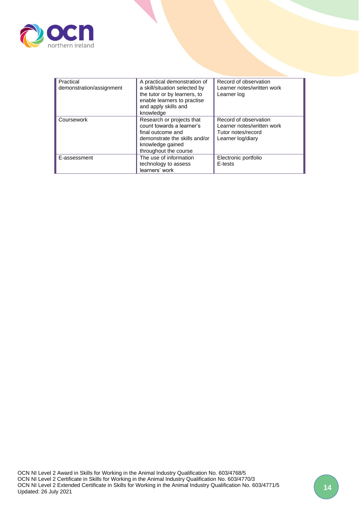

| Practical                | A practical demonstration of  | Record of observation      |
|--------------------------|-------------------------------|----------------------------|
| demonstration/assignment | a skill/situation selected by | Learner notes/written work |
|                          | the tutor or by learners, to  | Learner log                |
|                          | enable learners to practise   |                            |
|                          | and apply skills and          |                            |
|                          | knowledge                     |                            |
| Coursework               | Research or projects that     | Record of observation      |
|                          | count towards a learner's     | Learner notes/written work |
|                          | final outcome and             | Tutor notes/record         |
|                          | demonstrate the skills and/or | Learner log/diary          |
|                          | knowledge gained              |                            |
|                          | throughout the course         |                            |
| E-assessment             | The use of information        | Electronic portfolio       |
|                          | technology to assess          | E-tests                    |
|                          | learners' work                |                            |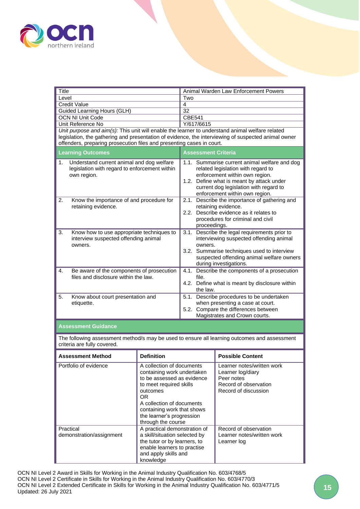

<span id="page-14-0"></span>

| Title                                                                                                           |                                                                                                                                                                                                                                                   |                                                                                                                                                                                                                              | Animal Warden Law Enforcement Powers                                                                                                                                                                                                           |  |
|-----------------------------------------------------------------------------------------------------------------|---------------------------------------------------------------------------------------------------------------------------------------------------------------------------------------------------------------------------------------------------|------------------------------------------------------------------------------------------------------------------------------------------------------------------------------------------------------------------------------|------------------------------------------------------------------------------------------------------------------------------------------------------------------------------------------------------------------------------------------------|--|
|                                                                                                                 | Level<br>Two                                                                                                                                                                                                                                      |                                                                                                                                                                                                                              |                                                                                                                                                                                                                                                |  |
|                                                                                                                 | <b>Credit Value</b><br>$\overline{4}$<br>32                                                                                                                                                                                                       |                                                                                                                                                                                                                              |                                                                                                                                                                                                                                                |  |
| Guided Learning Hours (GLH)<br><b>OCN NI Unit Code</b>                                                          |                                                                                                                                                                                                                                                   | CBE541                                                                                                                                                                                                                       |                                                                                                                                                                                                                                                |  |
| Unit Reference No                                                                                               |                                                                                                                                                                                                                                                   | Y/617/6615                                                                                                                                                                                                                   |                                                                                                                                                                                                                                                |  |
| Unit purpose and aim(s): This unit will enable the learner to understand animal welfare related                 |                                                                                                                                                                                                                                                   |                                                                                                                                                                                                                              |                                                                                                                                                                                                                                                |  |
|                                                                                                                 |                                                                                                                                                                                                                                                   |                                                                                                                                                                                                                              | legislation, the gathering and presentation of evidence, the interviewing of suspected animal owner                                                                                                                                            |  |
| offenders, preparing prosecution files and presenting cases in court.                                           |                                                                                                                                                                                                                                                   |                                                                                                                                                                                                                              |                                                                                                                                                                                                                                                |  |
| <b>Learning Outcomes</b>                                                                                        |                                                                                                                                                                                                                                                   | <b>Assessment Criteria</b>                                                                                                                                                                                                   |                                                                                                                                                                                                                                                |  |
| Understand current animal and dog welfare<br>1.<br>legislation with regard to enforcement within<br>own region. |                                                                                                                                                                                                                                                   |                                                                                                                                                                                                                              | 1.1. Summarise current animal welfare and dog<br>related legislation with regard to<br>enforcement within own region.<br>1.2. Define what is meant by attack under<br>current dog legislation with regard to<br>enforcement within own region. |  |
| 2.<br>Know the importance of and procedure for<br>retaining evidence.                                           |                                                                                                                                                                                                                                                   | 2.1.                                                                                                                                                                                                                         | Describe the importance of gathering and<br>retaining evidence.<br>2.2. Describe evidence as it relates to<br>procedures for criminal and civil<br>proceedings.                                                                                |  |
| 3.<br>Know how to use appropriate techniques to<br>interview suspected offending animal<br>owners.              |                                                                                                                                                                                                                                                   | Describe the legal requirements prior to<br>3.1.<br>interviewing suspected offending animal<br>owners.<br>3.2. Summarise techniques used to interview<br>suspected offending animal welfare owners<br>during investigations. |                                                                                                                                                                                                                                                |  |
| 4.<br>Be aware of the components of prosecution<br>files and disclosure within the law.                         |                                                                                                                                                                                                                                                   | 4.1. Describe the components of a prosecution<br>file.<br>4.2. Define what is meant by disclosure within<br>the law.                                                                                                         |                                                                                                                                                                                                                                                |  |
| 5.<br>Know about court presentation and<br>etiquette.                                                           |                                                                                                                                                                                                                                                   | 5.1. Describe procedures to be undertaken<br>when presenting a case at court.<br>5.2. Compare the differences between<br>Magistrates and Crown courts.                                                                       |                                                                                                                                                                                                                                                |  |
| <b>Assessment Guidance</b>                                                                                      |                                                                                                                                                                                                                                                   |                                                                                                                                                                                                                              |                                                                                                                                                                                                                                                |  |
| criteria are fully covered.                                                                                     |                                                                                                                                                                                                                                                   |                                                                                                                                                                                                                              | The following assessment method/s may be used to ensure all learning outcomes and assessment                                                                                                                                                   |  |
| <b>Assessment Method</b>                                                                                        | <b>Definition</b>                                                                                                                                                                                                                                 |                                                                                                                                                                                                                              | <b>Possible Content</b>                                                                                                                                                                                                                        |  |
| Portfolio of evidence                                                                                           | A collection of documents<br>containing work undertaken<br>to be assessed as evidence<br>to meet required skills<br>outcomes<br>OR.<br>A collection of documents<br>containing work that shows<br>the learner's progression<br>through the course |                                                                                                                                                                                                                              | Learner notes/written work<br>Learner log/diary<br>Peer notes<br>Record of observation<br>Record of discussion                                                                                                                                 |  |
| Practical<br>demonstration/assignment                                                                           | A practical demonstration of<br>a skill/situation selected by<br>the tutor or by learners, to<br>enable learners to practise<br>and apply skills and<br>knowledge                                                                                 |                                                                                                                                                                                                                              | Record of observation<br>Learner notes/written work<br>Learner log                                                                                                                                                                             |  |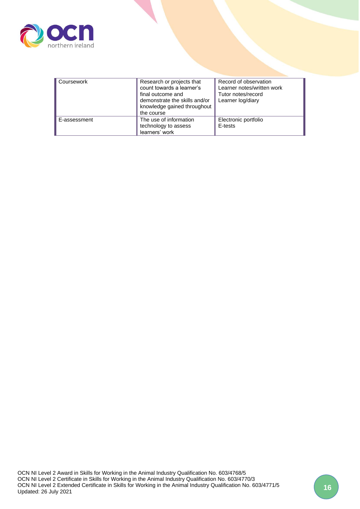

| Coursework   | Research or projects that<br>count towards a learner's<br>final outcome and<br>demonstrate the skills and/or<br>knowledge gained throughout<br>the course | Record of observation<br>Learner notes/written work<br>Tutor notes/record<br>Learner log/diary |
|--------------|-----------------------------------------------------------------------------------------------------------------------------------------------------------|------------------------------------------------------------------------------------------------|
| E-assessment | The use of information<br>technology to assess<br>learners' work                                                                                          | Electronic portfolio<br>E-tests                                                                |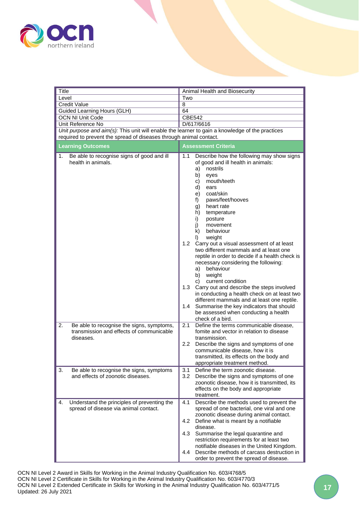

<span id="page-16-0"></span>

| Title                                                                                                                                                                     | Animal Health and Biosecurity                                                                                                                                                                                                                                                                                                                                                                                                                                                                                                                                                                                                                                                                                                                                                                                                          |  |  |
|---------------------------------------------------------------------------------------------------------------------------------------------------------------------------|----------------------------------------------------------------------------------------------------------------------------------------------------------------------------------------------------------------------------------------------------------------------------------------------------------------------------------------------------------------------------------------------------------------------------------------------------------------------------------------------------------------------------------------------------------------------------------------------------------------------------------------------------------------------------------------------------------------------------------------------------------------------------------------------------------------------------------------|--|--|
| Level                                                                                                                                                                     | Two                                                                                                                                                                                                                                                                                                                                                                                                                                                                                                                                                                                                                                                                                                                                                                                                                                    |  |  |
| <b>Credit Value</b>                                                                                                                                                       | 8                                                                                                                                                                                                                                                                                                                                                                                                                                                                                                                                                                                                                                                                                                                                                                                                                                      |  |  |
| Guided Learning Hours (GLH)                                                                                                                                               | 64                                                                                                                                                                                                                                                                                                                                                                                                                                                                                                                                                                                                                                                                                                                                                                                                                                     |  |  |
| OCN NI Unit Code                                                                                                                                                          | <b>CBE542</b>                                                                                                                                                                                                                                                                                                                                                                                                                                                                                                                                                                                                                                                                                                                                                                                                                          |  |  |
| Unit Reference No                                                                                                                                                         | D/617/6616                                                                                                                                                                                                                                                                                                                                                                                                                                                                                                                                                                                                                                                                                                                                                                                                                             |  |  |
| Unit purpose and $\dim(s)$ : This unit will enable the learner to gain a knowledge of the practices<br>required to prevent the spread of diseases through animal contact. |                                                                                                                                                                                                                                                                                                                                                                                                                                                                                                                                                                                                                                                                                                                                                                                                                                        |  |  |
|                                                                                                                                                                           |                                                                                                                                                                                                                                                                                                                                                                                                                                                                                                                                                                                                                                                                                                                                                                                                                                        |  |  |
| <b>Learning Outcomes</b>                                                                                                                                                  | Assessment Criteria                                                                                                                                                                                                                                                                                                                                                                                                                                                                                                                                                                                                                                                                                                                                                                                                                    |  |  |
| Be able to recognise signs of good and ill<br>1.<br>health in animals.                                                                                                    | Describe how the following may show signs<br>1.1<br>of good and ill health in animals:<br>nostrils<br>a)<br>b)<br>eyes<br>mouth/teeth<br>C)<br>d)<br>ears<br>coat/skin<br>e)<br>f)<br>paws/feet/hooves<br>heart rate<br>g)<br>h)<br>temperature<br>i)<br>posture<br>j)<br>movement<br>k)<br>behaviour<br>weight<br>$\vert$ )<br>1.2 Carry out a visual assessment of at least<br>two different mammals and at least one<br>reptile in order to decide if a health check is<br>necessary considering the following:<br>a) behaviour<br>b) weight<br>current condition<br>C)<br>1.3 Carry out and describe the steps involved<br>in conducting a health check on at least two<br>different mammals and at least one reptile.<br>1.4 Summarise the key indicators that should<br>be assessed when conducting a health<br>check of a bird. |  |  |
| 2.<br>Be able to recognise the signs, symptoms,<br>transmission and effects of communicable<br>diseases.                                                                  | 2.1<br>Define the terms communicable disease,<br>fomite and vector in relation to disease<br>transmission.<br>$2.2\,$<br>Describe the signs and symptoms of one<br>communicable disease, how it is<br>transmitted, its effects on the body and<br>appropriate treatment method.                                                                                                                                                                                                                                                                                                                                                                                                                                                                                                                                                        |  |  |
| 3.<br>Be able to recognise the signs, symptoms<br>and effects of zoonotic diseases.                                                                                       | 3.1<br>Define the term zoonotic disease.<br>3.2 <sub>2</sub><br>Describe the signs and symptoms of one<br>zoonotic disease, how it is transmitted, its<br>effects on the body and appropriate<br>treatment.                                                                                                                                                                                                                                                                                                                                                                                                                                                                                                                                                                                                                            |  |  |
| Understand the principles of preventing the<br>4.<br>spread of disease via animal contact.                                                                                | Describe the methods used to prevent the<br>4.1<br>spread of one bacterial, one viral and one<br>zoonotic disease during animal contact.<br>4.2<br>Define what is meant by a notifiable<br>disease.<br>4.3<br>Summarise the legal quarantine and<br>restriction requirements for at least two<br>notifiable diseases in the United Kingdom.<br>Describe methods of carcass destruction in<br>4.4<br>order to prevent the spread of disease.                                                                                                                                                                                                                                                                                                                                                                                            |  |  |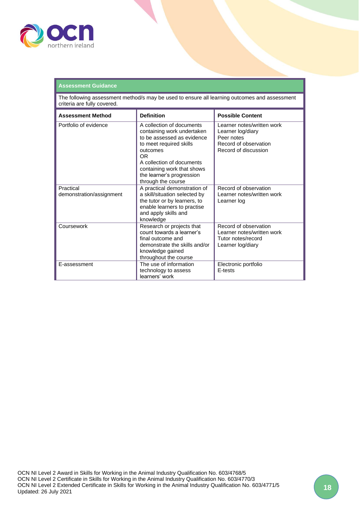

#### **Assessment Guidance**

The following assessment method/s may be used to ensure all learning outcomes and assessment criteria are fully covered.

| <b>Assessment Method</b>              | <b>Definition</b>                                                                                                                                                                                                                                | <b>Possible Content</b>                                                                                        |
|---------------------------------------|--------------------------------------------------------------------------------------------------------------------------------------------------------------------------------------------------------------------------------------------------|----------------------------------------------------------------------------------------------------------------|
| Portfolio of evidence                 | A collection of documents<br>containing work undertaken<br>to be assessed as evidence<br>to meet required skills<br>outcomes<br>0R<br>A collection of documents<br>containing work that shows<br>the learner's progression<br>through the course | Learner notes/written work<br>Learner log/diary<br>Peer notes<br>Record of observation<br>Record of discussion |
| Practical<br>demonstration/assignment | A practical demonstration of<br>a skill/situation selected by<br>the tutor or by learners, to<br>enable learners to practise<br>and apply skills and<br>knowledge                                                                                | Record of observation<br>Learner notes/written work<br>Learner log                                             |
| Coursework                            | Research or projects that<br>count towards a learner's<br>final outcome and<br>demonstrate the skills and/or<br>knowledge gained<br>throughout the course                                                                                        | Record of observation<br>Learner notes/written work<br>Tutor notes/record<br>Learner log/diary                 |
| E-assessment                          | The use of information<br>technology to assess<br>learners' work                                                                                                                                                                                 | Electronic portfolio<br>E-tests                                                                                |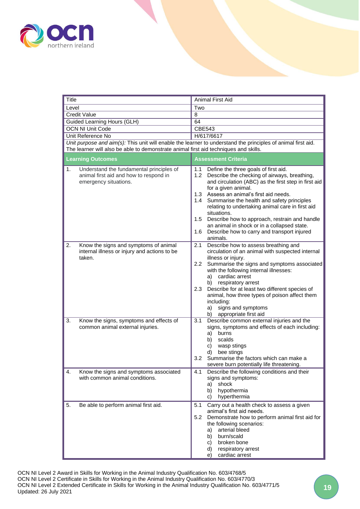

<span id="page-18-0"></span>

| Title                                                                                                                                                                                                | Animal First Aid                                                                                                                                                                                                                                                                                                                                                                                                                                                                                                     |  |  |
|------------------------------------------------------------------------------------------------------------------------------------------------------------------------------------------------------|----------------------------------------------------------------------------------------------------------------------------------------------------------------------------------------------------------------------------------------------------------------------------------------------------------------------------------------------------------------------------------------------------------------------------------------------------------------------------------------------------------------------|--|--|
| Level                                                                                                                                                                                                | Two                                                                                                                                                                                                                                                                                                                                                                                                                                                                                                                  |  |  |
| <b>Credit Value</b>                                                                                                                                                                                  | 8                                                                                                                                                                                                                                                                                                                                                                                                                                                                                                                    |  |  |
| Guided Learning Hours (GLH)                                                                                                                                                                          | 64                                                                                                                                                                                                                                                                                                                                                                                                                                                                                                                   |  |  |
| <b>OCN NI Unit Code</b>                                                                                                                                                                              | <b>CBE543</b>                                                                                                                                                                                                                                                                                                                                                                                                                                                                                                        |  |  |
| Unit Reference No                                                                                                                                                                                    | H/617/6617                                                                                                                                                                                                                                                                                                                                                                                                                                                                                                           |  |  |
| Unit purpose and aim(s): This unit will enable the learner to understand the principles of animal first aid.<br>The learner will also be able to demonstrate animal first aid techniques and skills. |                                                                                                                                                                                                                                                                                                                                                                                                                                                                                                                      |  |  |
| <b>Learning Outcomes</b>                                                                                                                                                                             | <b>Assessment Criteria</b>                                                                                                                                                                                                                                                                                                                                                                                                                                                                                           |  |  |
| 1.<br>Understand the fundamental principles of<br>animal first aid and how to respond in<br>emergency situations.                                                                                    | Define the three goals of first aid.<br>1.1<br>1.2 Describe the checking of airways, breathing,<br>and circulation (ABC) as the first step in first aid<br>for a given animal.<br>1.3 Assess an animal's first aid needs.<br>1.4 Summarise the health and safety principles<br>relating to undertaking animal care in first aid<br>situations.<br>1.5 Describe how to approach, restrain and handle<br>an animal in shock or in a collapsed state.<br>Describe how to carry and transport injured<br>1.6<br>animals. |  |  |
| 2.<br>Know the signs and symptoms of animal<br>internal illness or injury and actions to be<br>taken.                                                                                                | 2.1<br>Describe how to assess breathing and<br>circulation of an animal with suspected internal<br>illness or injury.<br>Summarise the signs and symptoms associated<br>2.2<br>with the following internal illnesses:<br>a) cardiac arrest<br>respiratory arrest<br>b)<br>2.3<br>Describe for at least two different species of<br>animal, how three types of poison affect them<br>including:<br>signs and symptoms<br>a)<br>appropriate first aid<br>b)                                                            |  |  |
| 3.<br>Know the signs, symptoms and effects of<br>common animal external injuries.                                                                                                                    | 3.1<br>Describe common external injuries and the<br>signs, symptoms and effects of each including:<br>a)<br>burns<br>scalds<br>b)<br>wasp stings<br>C)<br>bee stings<br>d)<br>Summarise the factors which can make a<br>3.2<br>severe burn potentially life threatening.                                                                                                                                                                                                                                             |  |  |
| Know the signs and symptoms associated<br>4.<br>with common animal conditions.                                                                                                                       | Describe the following conditions and their<br>4.1<br>signs and symptoms:<br>shock<br>a)<br>hypothermia<br>b)<br>hyperthermia<br>C)                                                                                                                                                                                                                                                                                                                                                                                  |  |  |
| 5.<br>Be able to perform animal first aid.                                                                                                                                                           | 5.1<br>Carry out a health check to assess a given<br>animal's first aid needs.<br>Demonstrate how to perform animal first aid for<br>5.2<br>the following scenarios:<br>arterial bleed<br>a)<br>burn/scald<br>b)<br>broken bone<br>C)<br>respiratory arrest<br>d)<br>cardiac arrest<br>e)                                                                                                                                                                                                                            |  |  |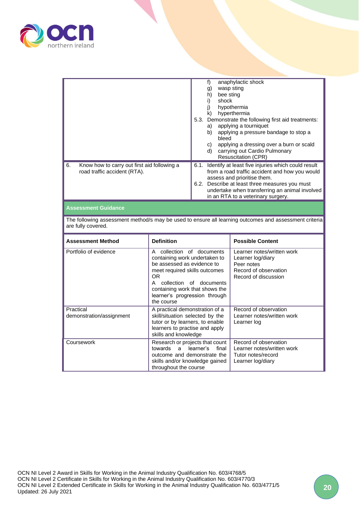

| Portfolio of evidence                                                                                                       | collection of documents<br>A<br>containing work undertaken to<br>ho accoccod as ovidance to |                                                                                                                                                                                                                                                                                                                                                         |                                              | Learner notes/written work<br>Learner log/diary |                                                                                                                                                                                                                                  |
|-----------------------------------------------------------------------------------------------------------------------------|---------------------------------------------------------------------------------------------|---------------------------------------------------------------------------------------------------------------------------------------------------------------------------------------------------------------------------------------------------------------------------------------------------------------------------------------------------------|----------------------------------------------|-------------------------------------------------|----------------------------------------------------------------------------------------------------------------------------------------------------------------------------------------------------------------------------------|
| <b>Assessment Method</b>                                                                                                    | <b>Definition</b>                                                                           |                                                                                                                                                                                                                                                                                                                                                         |                                              |                                                 | <b>Possible Content</b>                                                                                                                                                                                                          |
| The following assessment method/s may be used to ensure all learning outcomes and assessment criteria<br>are fully covered. |                                                                                             |                                                                                                                                                                                                                                                                                                                                                         |                                              |                                                 |                                                                                                                                                                                                                                  |
| <b>Assessment Guidance</b>                                                                                                  |                                                                                             |                                                                                                                                                                                                                                                                                                                                                         |                                              |                                                 |                                                                                                                                                                                                                                  |
| Know how to carry out first aid following a<br>6.<br>road traffic accident (RTA).                                           |                                                                                             | carrying out Cardio Pulmonary<br>d)<br><b>Resuscitation (CPR)</b><br>6.1. Identify at least five injuries which could result<br>from a road traffic accident and how you would<br>assess and prioritise them.<br>6.2. Describe at least three measures you must<br>undertake when transferring an animal involved<br>in an RTA to a veterinary surgery. |                                              |                                                 |                                                                                                                                                                                                                                  |
|                                                                                                                             |                                                                                             | 5.3.                                                                                                                                                                                                                                                                                                                                                    | f)<br>g)<br>h)<br>i)<br>k)<br>a)<br>b)<br>C) | bee sting<br>shock<br>bleed                     | anaphylactic shock<br>wasp sting<br>hypothermia<br>hyperthermia<br>Demonstrate the following first aid treatments:<br>applying a tourniquet<br>applying a pressure bandage to stop a<br>applying a dressing over a burn or scald |

|                                       | containing work undertaken to<br>be assessed as evidence to<br>meet required skills outcomes<br><b>OR</b><br>collection of documents<br>A<br>containing work that shows the<br>learner's progression through<br>the course | Learner log/diary<br>Peer notes<br>Record of observation<br>Record of discussion               |
|---------------------------------------|----------------------------------------------------------------------------------------------------------------------------------------------------------------------------------------------------------------------------|------------------------------------------------------------------------------------------------|
| Practical<br>demonstration/assignment | A practical demonstration of a<br>skill/situation selected by the<br>tutor or by learners, to enable<br>learners to practise and apply<br>skills and knowledge                                                             | Record of observation<br>Learner notes/written work<br>Learner log                             |
| Coursework                            | Research or projects that count<br>towards a learner's<br>final<br>outcome and demonstrate the<br>skills and/or knowledge gained<br>throughout the course                                                                  | Record of observation<br>Learner notes/written work<br>Tutor notes/record<br>Learner log/diary |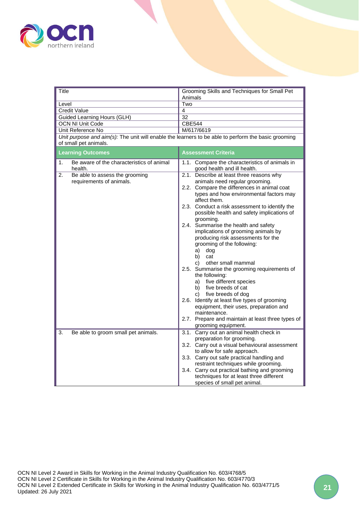

<span id="page-20-0"></span>

| <b>Title</b>                                                                                        | Grooming Skills and Techniques for Small Pet<br>Animals                                                                                                                                               |  |  |
|-----------------------------------------------------------------------------------------------------|-------------------------------------------------------------------------------------------------------------------------------------------------------------------------------------------------------|--|--|
| Level                                                                                               | Two                                                                                                                                                                                                   |  |  |
| <b>Credit Value</b>                                                                                 | $\overline{4}$                                                                                                                                                                                        |  |  |
| Guided Learning Hours (GLH)                                                                         | $\overline{32}$                                                                                                                                                                                       |  |  |
| <b>OCN NI Unit Code</b>                                                                             | <b>CBE544</b>                                                                                                                                                                                         |  |  |
| Unit Reference No                                                                                   | M/617/6619                                                                                                                                                                                            |  |  |
| Unit purpose and aim(s): The unit will enable the learners to be able to perform the basic grooming |                                                                                                                                                                                                       |  |  |
| of small pet animals.                                                                               |                                                                                                                                                                                                       |  |  |
| <b>Learning Outcomes</b>                                                                            | <b>Assessment Criteria</b>                                                                                                                                                                            |  |  |
| Be aware of the characteristics of animal<br>1.<br>health.                                          | 1.1. Compare the characteristics of animals in<br>good health and ill health.                                                                                                                         |  |  |
| 2.<br>Be able to assess the grooming<br>requirements of animals.                                    | 2.1. Describe at least three reasons why<br>animals need regular grooming.                                                                                                                            |  |  |
|                                                                                                     | 2.2. Compare the differences in animal coat<br>types and how environmental factors may<br>affect them.                                                                                                |  |  |
|                                                                                                     | 2.3. Conduct a risk assessment to identify the<br>possible health and safety implications of<br>grooming.                                                                                             |  |  |
|                                                                                                     | 2.4. Summarise the health and safety<br>implications of grooming animals by<br>producing risk assessments for the<br>grooming of the following:<br>a)<br>dog<br>b)<br>cat<br>C)<br>other small mammal |  |  |
|                                                                                                     | 2.5. Summarise the grooming requirements of<br>the following:<br>a) five different species<br>b) five breeds of cat<br>c) five breeds of dog                                                          |  |  |
|                                                                                                     | 2.6. Identify at least five types of grooming<br>equipment, their uses, preparation and<br>maintenance.                                                                                               |  |  |
|                                                                                                     | 2.7. Prepare and maintain at least three types of<br>grooming equipment.                                                                                                                              |  |  |
| Be able to groom small pet animals.<br>3.                                                           | 3.1. Carry out an animal health check in<br>preparation for grooming.                                                                                                                                 |  |  |
|                                                                                                     | 3.2. Carry out a visual behavioural assessment<br>to allow for safe approach.                                                                                                                         |  |  |
|                                                                                                     | 3.3. Carry out safe practical handling and                                                                                                                                                            |  |  |
|                                                                                                     | restraint techniques while grooming.                                                                                                                                                                  |  |  |
|                                                                                                     | 3.4. Carry out practical bathing and grooming                                                                                                                                                         |  |  |
|                                                                                                     | techniques for at least three different                                                                                                                                                               |  |  |
|                                                                                                     | species of small pet animal.                                                                                                                                                                          |  |  |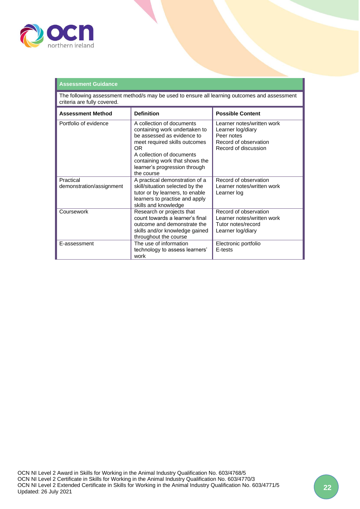

#### **Assessment Guidance** The following assessment method/s may be used to ensure all learning outcomes and assessment criteria are fully covered. **Assessment Method | Definition | Possible Content** Portfolio of evidence **A** collection of documents containing work undertaken to be assessed as evidence to meet required skills outcomes OR A collection of documents containing work that shows the learner's progression through the course Learner notes/written work Learner log/diary Peer notes Record of observation Record of discussion Practical demonstration/assignment A practical demonstration of a skill/situation selected by the tutor or by learners, to enable learners to practise and apply skills and knowledge Record of observation Learner notes/written work Learner log Coursework Research or projects that count towards a learner's final outcome and demonstrate the skills and/or knowledge gained throughout the course Record of observation Learner notes/written work Tutor notes/record Learner log/diary E-assessment The use of information technology to assess learners' work Electronic portfolio E-tests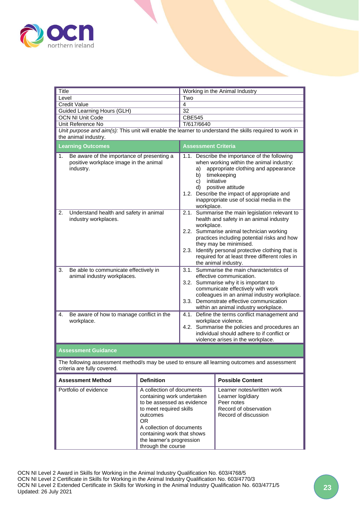

<span id="page-22-0"></span>

| <b>Title</b>                                                                                                                                                                                                                                                               |                                              | Working in the Animal Industry                                                                                                                                                                                                                                                                                                                                |                                                                                                                       |                         |
|----------------------------------------------------------------------------------------------------------------------------------------------------------------------------------------------------------------------------------------------------------------------------|----------------------------------------------|---------------------------------------------------------------------------------------------------------------------------------------------------------------------------------------------------------------------------------------------------------------------------------------------------------------------------------------------------------------|-----------------------------------------------------------------------------------------------------------------------|-------------------------|
| Level                                                                                                                                                                                                                                                                      |                                              | Two                                                                                                                                                                                                                                                                                                                                                           |                                                                                                                       |                         |
| <b>Credit Value</b>                                                                                                                                                                                                                                                        |                                              | 4                                                                                                                                                                                                                                                                                                                                                             |                                                                                                                       |                         |
|                                                                                                                                                                                                                                                                            | Guided Learning Hours (GLH)                  |                                                                                                                                                                                                                                                                                                                                                               | 32                                                                                                                    |                         |
|                                                                                                                                                                                                                                                                            | <b>OCN NI Unit Code</b><br>Unit Reference No |                                                                                                                                                                                                                                                                                                                                                               | <b>CBE545</b>                                                                                                         |                         |
|                                                                                                                                                                                                                                                                            |                                              |                                                                                                                                                                                                                                                                                                                                                               | T/617/6640<br>Unit purpose and aim(s): This unit will enable the learner to understand the skills required to work in |                         |
|                                                                                                                                                                                                                                                                            | the animal industry.                         |                                                                                                                                                                                                                                                                                                                                                               |                                                                                                                       |                         |
|                                                                                                                                                                                                                                                                            | <b>Learning Outcomes</b>                     |                                                                                                                                                                                                                                                                                                                                                               | <b>Assessment Criteria</b>                                                                                            |                         |
|                                                                                                                                                                                                                                                                            |                                              |                                                                                                                                                                                                                                                                                                                                                               |                                                                                                                       |                         |
| Be aware of the importance of presenting a<br>1.<br>positive workplace image in the animal<br>industry.                                                                                                                                                                    |                                              | 1.1. Describe the importance of the following<br>when working within the animal industry:<br>appropriate clothing and appearance<br>a)<br>timekeeping<br>b)<br>initiative<br>C)<br>positive attitude<br>d) l<br>1.2. Describe the impact of appropriate and<br>inappropriate use of social media in the<br>workplace.                                         |                                                                                                                       |                         |
| 2.<br>Understand health and safety in animal<br>industry workplaces.                                                                                                                                                                                                       |                                              | 2.1. Summarise the main legislation relevant to<br>health and safety in an animal industry<br>workplace.<br>2.2. Summarise animal technician working<br>practices including potential risks and how<br>they may be minimised.<br>2.3. Identify personal protective clothing that is<br>required for at least three different roles in<br>the animal industry. |                                                                                                                       |                         |
| Be able to communicate effectively in<br>3.<br>animal industry workplaces.                                                                                                                                                                                                 |                                              | 3.1. Summarise the main characteristics of<br>effective communication.<br>3.2. Summarise why it is important to<br>communicate effectively with work<br>colleagues in an animal industry workplace.<br>3.3. Demonstrate effective communication<br>within an animal industry workplace.                                                                       |                                                                                                                       |                         |
| Be aware of how to manage conflict in the<br>4.<br>workplace.                                                                                                                                                                                                              |                                              | 4.1. Define the terms conflict management and<br>workplace violence.<br>4.2. Summarise the policies and procedures an<br>individual should adhere to if conflict or<br>violence arises in the workplace.                                                                                                                                                      |                                                                                                                       |                         |
|                                                                                                                                                                                                                                                                            | <b>Assessment Guidance</b>                   |                                                                                                                                                                                                                                                                                                                                                               |                                                                                                                       |                         |
| The following assessment method/s may be used to ensure all learning outcomes and assessment<br>criteria are fully covered.                                                                                                                                                |                                              |                                                                                                                                                                                                                                                                                                                                                               |                                                                                                                       |                         |
|                                                                                                                                                                                                                                                                            | <b>Assessment Method</b>                     | <b>Definition</b>                                                                                                                                                                                                                                                                                                                                             |                                                                                                                       | <b>Possible Content</b> |
| Portfolio of evidence<br>A collection of documents<br>containing work undertaken<br>to be assessed as evidence<br>to meet required skills<br>outcomes<br>OR.<br>A collection of documents<br>containing work that shows<br>the learner's progression<br>through the course |                                              |                                                                                                                                                                                                                                                                                                                                                               | Learner notes/written work<br>Learner log/diary<br>Peer notes<br>Record of observation<br>Record of discussion        |                         |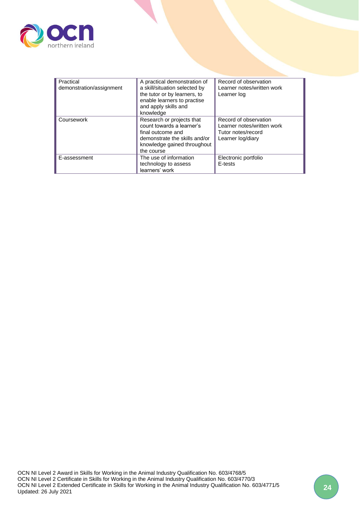

| Practical                | A practical demonstration of  | Record of observation      |
|--------------------------|-------------------------------|----------------------------|
| demonstration/assignment | a skill/situation selected by | Learner notes/written work |
|                          | the tutor or by learners, to  | Learner log                |
|                          | enable learners to practise   |                            |
|                          | and apply skills and          |                            |
|                          | knowledge                     |                            |
| Coursework               | Research or projects that     | Record of observation      |
|                          | count towards a learner's     | Learner notes/written work |
|                          | final outcome and             | Tutor notes/record         |
|                          | demonstrate the skills and/or | Learner log/diary          |
|                          | knowledge gained throughout   |                            |
|                          | the course                    |                            |
| E-assessment             | The use of information        | Electronic portfolio       |
|                          | technology to assess          | E-tests                    |
|                          | learners' work                |                            |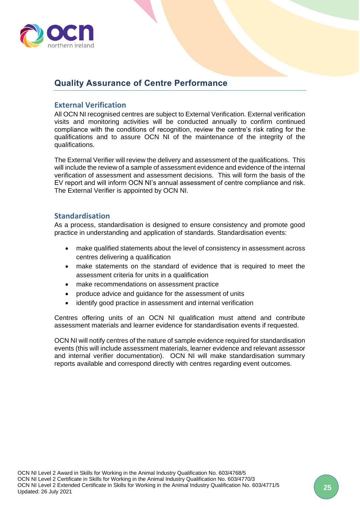

## <span id="page-24-0"></span>**Quality Assurance of Centre Performance**

## <span id="page-24-1"></span>**External Verification**

All OCN NI recognised centres are subject to External Verification. External verification visits and monitoring activities will be conducted annually to confirm continued compliance with the conditions of recognition, review the centre's risk rating for the qualifications and to assure OCN NI of the maintenance of the integrity of the qualifications.

The External Verifier will review the delivery and assessment of the qualifications. This will include the review of a sample of assessment evidence and evidence of the internal verification of assessment and assessment decisions. This will form the basis of the EV report and will inform OCN NI's annual assessment of centre compliance and risk. The External Verifier is appointed by OCN NI.

### <span id="page-24-2"></span>**Standardisation**

As a process, standardisation is designed to ensure consistency and promote good practice in understanding and application of standards. Standardisation events:

- make qualified statements about the level of consistency in assessment across centres delivering a qualification
- make statements on the standard of evidence that is required to meet the assessment criteria for units in a qualification
- make recommendations on assessment practice
- produce advice and guidance for the assessment of units
- identify good practice in assessment and internal verification

Centres offering units of an OCN NI qualification must attend and contribute assessment materials and learner evidence for standardisation events if requested.

OCN NI will notify centres of the nature of sample evidence required for standardisation events (this will include assessment materials, learner evidence and relevant assessor and internal verifier documentation). OCN NI will make standardisation summary reports available and correspond directly with centres regarding event outcomes.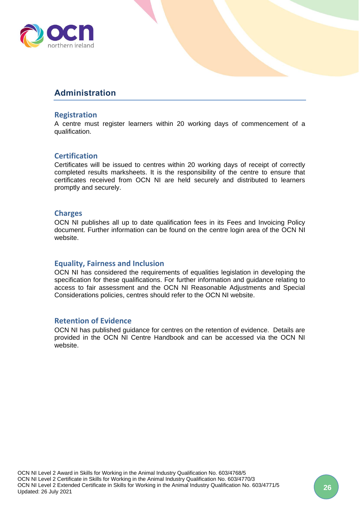

## <span id="page-25-0"></span>**Administration**

### <span id="page-25-1"></span>**Registration**

A centre must register learners within 20 working days of commencement of a qualification.

## <span id="page-25-2"></span>**Certification**

Certificates will be issued to centres within 20 working days of receipt of correctly completed results marksheets. It is the responsibility of the centre to ensure that certificates received from OCN NI are held securely and distributed to learners promptly and securely.

### <span id="page-25-3"></span>**Charges**

OCN NI publishes all up to date qualification fees in its Fees and Invoicing Policy document. Further information can be found on the centre login area of the OCN NI website.

## <span id="page-25-4"></span>**Equality, Fairness and Inclusion**

OCN NI has considered the requirements of equalities legislation in developing the specification for these qualifications. For further information and guidance relating to access to fair assessment and the OCN NI Reasonable Adjustments and Special Considerations policies, centres should refer to the OCN NI website.

#### <span id="page-25-5"></span>**Retention of Evidence**

OCN NI has published guidance for centres on the retention of evidence. Details are provided in the OCN NI Centre Handbook and can be accessed via the OCN NI website.